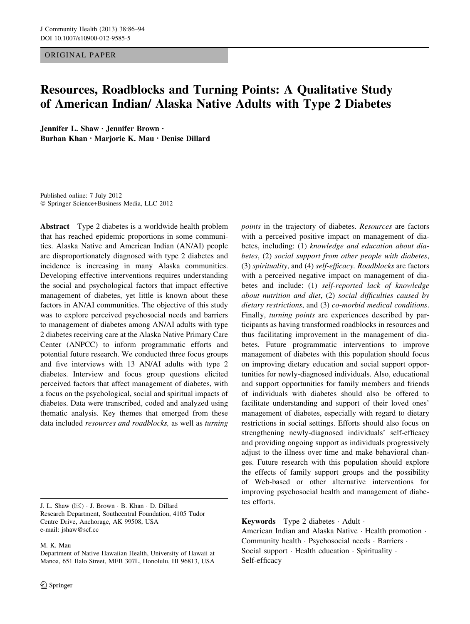ORIGINAL PAPER

# Resources, Roadblocks and Turning Points: A Qualitative Study of American Indian/ Alaska Native Adults with Type 2 Diabetes

Jennifer L. Shaw • Jennifer Brown • Burhan Khan • Marjorie K. Mau • Denise Dillard

Published online: 7 July 2012 - Springer Science+Business Media, LLC 2012

Abstract Type 2 diabetes is a worldwide health problem that has reached epidemic proportions in some communities. Alaska Native and American Indian (AN/AI) people are disproportionately diagnosed with type 2 diabetes and incidence is increasing in many Alaska communities. Developing effective interventions requires understanding the social and psychological factors that impact effective management of diabetes, yet little is known about these factors in AN/AI communities. The objective of this study was to explore perceived psychosocial needs and barriers to management of diabetes among AN/AI adults with type 2 diabetes receiving care at the Alaska Native Primary Care Center (ANPCC) to inform programmatic efforts and potential future research. We conducted three focus groups and five interviews with 13 AN/AI adults with type 2 diabetes. Interview and focus group questions elicited perceived factors that affect management of diabetes, with a focus on the psychological, social and spiritual impacts of diabetes. Data were transcribed, coded and analyzed using thematic analysis. Key themes that emerged from these data included resources and roadblocks, as well as turning

J. L. Shaw  $(\boxtimes) \cdot$  J. Brown  $\cdot$  B. Khan  $\cdot$  D. Dillard Research Department, Southcentral Foundation, 4105 Tudor Centre Drive, Anchorage, AK 99508, USA e-mail: jshaw@scf.cc

M. K. Mau

points in the trajectory of diabetes. Resources are factors with a perceived positive impact on management of diabetes, including: (1) knowledge and education about diabetes, (2) social support from other people with diabetes, (3) spirituality, and (4) self-efficacy. Roadblocks are factors with a perceived negative impact on management of diabetes and include: (1) self-reported lack of knowledge about nutrition and diet, (2) social difficulties caused by dietary restrictions, and (3) co-morbid medical conditions. Finally, turning points are experiences described by participants as having transformed roadblocks in resources and thus facilitating improvement in the management of diabetes. Future programmatic interventions to improve management of diabetes with this population should focus on improving dietary education and social support opportunities for newly-diagnosed individuals. Also, educational and support opportunities for family members and friends of individuals with diabetes should also be offered to facilitate understanding and support of their loved ones' management of diabetes, especially with regard to dietary restrictions in social settings. Efforts should also focus on strengthening newly-diagnosed individuals' self-efficacy and providing ongoing support as individuals progressively adjust to the illness over time and make behavioral changes. Future research with this population should explore the effects of family support groups and the possibility of Web-based or other alternative interventions for improving psychosocial health and management of diabetes efforts.

**Keywords** Type 2 diabetes  $\cdot$  Adult  $\cdot$ 

American Indian and Alaska Native · Health promotion · Community health - Psychosocial needs - Barriers - Social support · Health education · Spirituality · Self-efficacy

Department of Native Hawaiian Health, University of Hawaii at Manoa, 651 Ilalo Street, MEB 307L, Honolulu, HI 96813, USA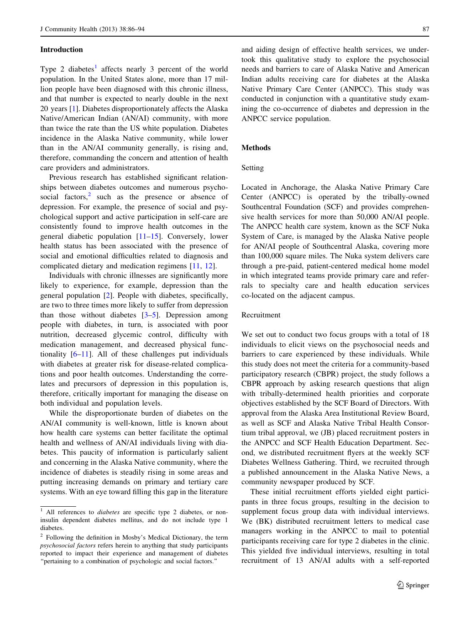#### Introduction

Type 2 diabetes<sup>1</sup> affects nearly 3 percent of the world population. In the United States alone, more than 17 million people have been diagnosed with this chronic illness, and that number is expected to nearly double in the next 20 years [\[1](#page-7-0)]. Diabetes disproportionately affects the Alaska Native/American Indian (AN/AI) community, with more than twice the rate than the US white population. Diabetes incidence in the Alaska Native community, while lower than in the AN/AI community generally, is rising and, therefore, commanding the concern and attention of health care providers and administrators.

Previous research has established significant relationships between diabetes outcomes and numerous psychosocial factors, $\frac{2}{x}$  such as the presence or absence of depression. For example, the presence of social and psychological support and active participation in self-care are consistently found to improve health outcomes in the general diabetic population [[11–](#page-7-0)[15\]](#page-8-0). Conversely, lower health status has been associated with the presence of social and emotional difficulties related to diagnosis and complicated dietary and medication regimens [[11,](#page-7-0) [12](#page-7-0)].

Individuals with chronic illnesses are significantly more likely to experience, for example, depression than the general population [\[2](#page-7-0)]. People with diabetes, specifically, are two to three times more likely to suffer from depression than those without diabetes  $[3-5]$ . Depression among people with diabetes, in turn, is associated with poor nutrition, decreased glycemic control, difficulty with medication management, and decreased physical functionality [[6–11\]](#page-7-0). All of these challenges put individuals with diabetes at greater risk for disease-related complications and poor health outcomes. Understanding the correlates and precursors of depression in this population is, therefore, critically important for managing the disease on both individual and population levels.

While the disproportionate burden of diabetes on the AN/AI community is well-known, little is known about how health care systems can better facilitate the optimal health and wellness of AN/AI individuals living with diabetes. This paucity of information is particularly salient and concerning in the Alaska Native community, where the incidence of diabetes is steadily rising in some areas and putting increasing demands on primary and tertiary care systems. With an eye toward filling this gap in the literature and aiding design of effective health services, we undertook this qualitative study to explore the psychosocial needs and barriers to care of Alaska Native and American Indian adults receiving care for diabetes at the Alaska Native Primary Care Center (ANPCC). This study was conducted in conjunction with a quantitative study examining the co-occurrence of diabetes and depression in the ANPCC service population.

### **Methods**

#### Setting

Located in Anchorage, the Alaska Native Primary Care Center (ANPCC) is operated by the tribally-owned Southcentral Foundation (SCF) and provides comprehensive health services for more than 50,000 AN/AI people. The ANPCC health care system, known as the SCF Nuka System of Care, is managed by the Alaska Native people for AN/AI people of Southcentral Alaska, covering more than 100,000 square miles. The Nuka system delivers care through a pre-paid, patient-centered medical home model in which integrated teams provide primary care and referrals to specialty care and health education services co-located on the adjacent campus.

#### Recruitment

We set out to conduct two focus groups with a total of 18 individuals to elicit views on the psychosocial needs and barriers to care experienced by these individuals. While this study does not meet the criteria for a community-based participatory research (CBPR) project, the study follows a CBPR approach by asking research questions that align with tribally-determined health priorities and corporate objectives established by the SCF Board of Directors. With approval from the Alaska Area Institutional Review Board, as well as SCF and Alaska Native Tribal Health Consortium tribal approval, we (JB) placed recruitment posters in the ANPCC and SCF Health Education Department. Second, we distributed recruitment flyers at the weekly SCF Diabetes Wellness Gathering. Third, we recruited through a published announcement in the Alaska Native News, a community newspaper produced by SCF.

These initial recruitment efforts yielded eight participants in three focus groups, resulting in the decision to supplement focus group data with individual interviews. We (BK) distributed recruitment letters to medical case managers working in the ANPCC to mail to potential participants receiving care for type 2 diabetes in the clinic. This yielded five individual interviews, resulting in total recruitment of 13 AN/AI adults with a self-reported

<sup>&</sup>lt;sup>1</sup> All references to *diabetes* are specific type 2 diabetes, or noninsulin dependent diabetes mellitus, and do not include type 1 diabetes.

<sup>2</sup> Following the definition in Mosby's Medical Dictionary, the term psychosocial factors refers herein to anything that study participants reported to impact their experience and management of diabetes ''pertaining to a combination of psychologic and social factors.''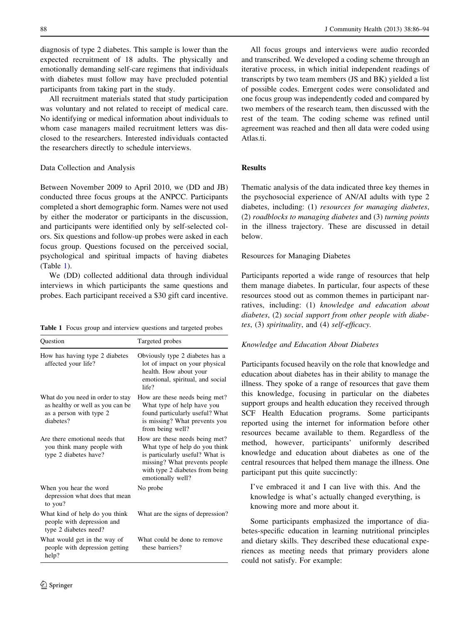diagnosis of type 2 diabetes. This sample is lower than the expected recruitment of 18 adults. The physically and emotionally demanding self-care regimens that individuals with diabetes must follow may have precluded potential participants from taking part in the study.

All recruitment materials stated that study participation was voluntary and not related to receipt of medical care. No identifying or medical information about individuals to whom case managers mailed recruitment letters was disclosed to the researchers. Interested individuals contacted the researchers directly to schedule interviews.

#### Data Collection and Analysis

Between November 2009 to April 2010, we (DD and JB) conducted three focus groups at the ANPCC. Participants completed a short demographic form. Names were not used by either the moderator or participants in the discussion, and participants were identified only by self-selected colors. Six questions and follow-up probes were asked in each focus group. Questions focused on the perceived social, psychological and spiritual impacts of having diabetes (Table 1).

We (DD) collected additional data through individual interviews in which participants the same questions and probes. Each participant received a \$30 gift card incentive.

|  |  |  |  | Table 1 Focus group and interview questions and targeted probes |  |  |  |  |
|--|--|--|--|-----------------------------------------------------------------|--|--|--|--|
|--|--|--|--|-----------------------------------------------------------------|--|--|--|--|

| Ouestion                                                                                                      | Targeted probes                                                                                                                                                                              |  |  |  |
|---------------------------------------------------------------------------------------------------------------|----------------------------------------------------------------------------------------------------------------------------------------------------------------------------------------------|--|--|--|
| How has having type 2 diabetes<br>affected your life?                                                         | Obviously type 2 diabetes has a<br>lot of impact on your physical<br>health. How about your<br>emotional, spiritual, and social<br>life?                                                     |  |  |  |
| What do you need in order to stay<br>as healthy or well as you can be<br>as a person with type 2<br>diabetes? | How are these needs being met?<br>What type of help have you<br>found particularly useful? What<br>is missing? What prevents you<br>from being well?                                         |  |  |  |
| Are there emotional needs that<br>you think many people with<br>type 2 diabetes have?                         | How are these needs being met?<br>What type of help do you think<br>is particularly useful? What is<br>missing? What prevents people<br>with type 2 diabetes from being<br>emotionally well? |  |  |  |
| When you hear the word<br>depression what does that mean<br>to you?                                           | No probe                                                                                                                                                                                     |  |  |  |
| What kind of help do you think<br>people with depression and<br>type 2 diabetes need?                         | What are the signs of depression?                                                                                                                                                            |  |  |  |
| What would get in the way of<br>people with depression getting<br>help?                                       | What could be done to remove<br>these barriers?                                                                                                                                              |  |  |  |

All focus groups and interviews were audio recorded and transcribed. We developed a coding scheme through an iterative process, in which initial independent readings of transcripts by two team members (JS and BK) yielded a list of possible codes. Emergent codes were consolidated and one focus group was independently coded and compared by two members of the research team, then discussed with the rest of the team. The coding scheme was refined until agreement was reached and then all data were coded using Atlas.ti.

## Results

Thematic analysis of the data indicated three key themes in the psychosocial experience of AN/AI adults with type 2 diabetes, including: (1) resources for managing diabetes, (2) roadblocks to managing diabetes and (3) turning points in the illness trajectory. These are discussed in detail below.

Resources for Managing Diabetes

Participants reported a wide range of resources that help them manage diabetes. In particular, four aspects of these resources stood out as common themes in participant narratives, including: (1) knowledge and education about diabetes, (2) social support from other people with diabetes, (3) spirituality, and (4) self-efficacy.

#### Knowledge and Education About Diabetes

Participants focused heavily on the role that knowledge and education about diabetes has in their ability to manage the illness. They spoke of a range of resources that gave them this knowledge, focusing in particular on the diabetes support groups and health education they received through SCF Health Education programs. Some participants reported using the internet for information before other resources became available to them. Regardless of the method, however, participants' uniformly described knowledge and education about diabetes as one of the central resources that helped them manage the illness. One participant put this quite succinctly:

I've embraced it and I can live with this. And the knowledge is what's actually changed everything, is knowing more and more about it.

Some participants emphasized the importance of diabetes-specific education in learning nutritional principles and dietary skills. They described these educational experiences as meeting needs that primary providers alone could not satisfy. For example: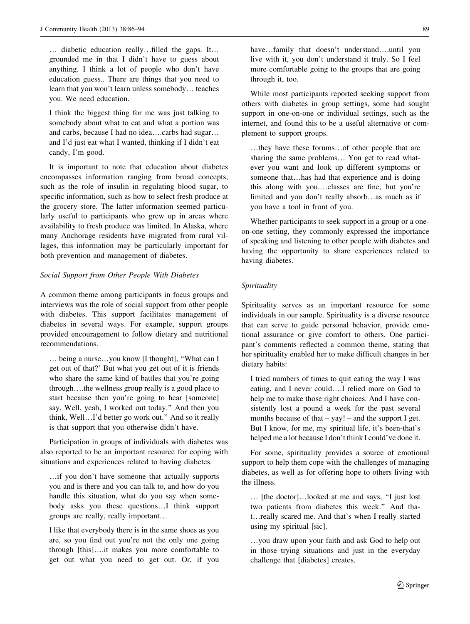… diabetic education really…filled the gaps. It… grounded me in that I didn't have to guess about anything. I think a lot of people who don't have education guess.. There are things that you need to learn that you won't learn unless somebody… teaches you. We need education.

I think the biggest thing for me was just talking to somebody about what to eat and what a portion was and carbs, because I had no idea….carbs had sugar… and I'd just eat what I wanted, thinking if I didn't eat candy, I'm good.

It is important to note that education about diabetes encompasses information ranging from broad concepts, such as the role of insulin in regulating blood sugar, to specific information, such as how to select fresh produce at the grocery store. The latter information seemed particularly useful to participants who grew up in areas where availability to fresh produce was limited. In Alaska, where many Anchorage residents have migrated from rural villages, this information may be particularly important for both prevention and management of diabetes.

## Social Support from Other People With Diabetes

A common theme among participants in focus groups and interviews was the role of social support from other people with diabetes. This support facilitates management of diabetes in several ways. For example, support groups provided encouragement to follow dietary and nutritional recommendations.

… being a nurse…you know [I thought], ''What can I get out of that?' But what you get out of it is friends who share the same kind of battles that you're going through….the wellness group really is a good place to start because then you're going to hear [someone] say, Well, yeah, I worked out today.'' And then you think, Well…I'd better go work out.'' And so it really is that support that you otherwise didn't have.

Participation in groups of individuals with diabetes was also reported to be an important resource for coping with situations and experiences related to having diabetes.

…if you don't have someone that actually supports you and is there and you can talk to, and how do you handle this situation, what do you say when somebody asks you these questions…I think support groups are really, really important…

I like that everybody there is in the same shoes as you are, so you find out you're not the only one going through [this]….it makes you more comfortable to get out what you need to get out. Or, if you have…family that doesn't understand….until you live with it, you don't understand it truly. So I feel more comfortable going to the groups that are going through it, too.

While most participants reported seeking support from others with diabetes in group settings, some had sought support in one-on-one or individual settings, such as the internet, and found this to be a useful alternative or complement to support groups.

…they have these forums…of other people that are sharing the same problems… You get to read whatever you want and look up different symptoms or someone that…has had that experience and is doing this along with you.…classes are fine, but you're limited and you don't really absorb…as much as if you have a tool in front of you.

Whether participants to seek support in a group or a oneon-one setting, they commonly expressed the importance of speaking and listening to other people with diabetes and having the opportunity to share experiences related to having diabetes.

#### Spirituality

Spirituality serves as an important resource for some individuals in our sample. Spirituality is a diverse resource that can serve to guide personal behavior, provide emotional assurance or give comfort to others. One participant's comments reflected a common theme, stating that her spirituality enabled her to make difficult changes in her dietary habits:

I tried numbers of times to quit eating the way I was eating, and I never could….I relied more on God to help me to make those right choices. And I have consistently lost a pound a week for the past several months because of that  $-$  yay!  $-$  and the support I get. But I know, for me, my spiritual life, it's been-that's helped me a lot because I don't think I could've done it.

For some, spirituality provides a source of emotional support to help them cope with the challenges of managing diabetes, as well as for offering hope to others living with the illness.

… [the doctor]…looked at me and says, ''I just lost two patients from diabetes this week.'' And that…really scared me. And that's when I really started using my spiritual [sic].

…you draw upon your faith and ask God to help out in those trying situations and just in the everyday challenge that [diabetes] creates.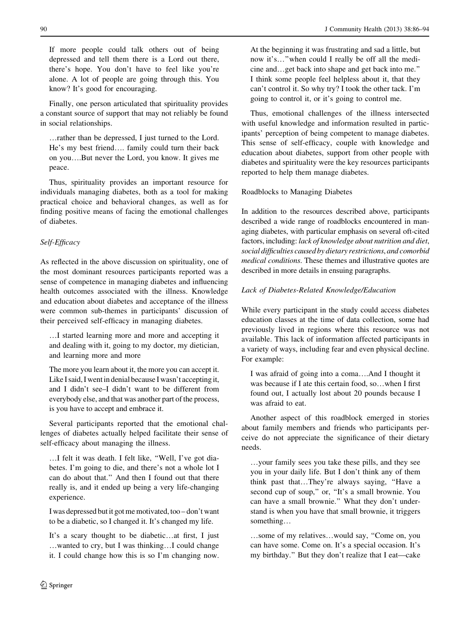If more people could talk others out of being depressed and tell them there is a Lord out there, there's hope. You don't have to feel like you're alone. A lot of people are going through this. You know? It's good for encouraging.

Finally, one person articulated that spirituality provides a constant source of support that may not reliably be found in social relationships.

…rather than be depressed, I just turned to the Lord. He's my best friend…. family could turn their back on you….But never the Lord, you know. It gives me peace.

Thus, spirituality provides an important resource for individuals managing diabetes, both as a tool for making practical choice and behavioral changes, as well as for finding positive means of facing the emotional challenges of diabetes.

# Self-Efficacy

As reflected in the above discussion on spirituality, one of the most dominant resources participants reported was a sense of competence in managing diabetes and influencing health outcomes associated with the illness. Knowledge and education about diabetes and acceptance of the illness were common sub-themes in participants' discussion of their perceived self-efficacy in managing diabetes.

…I started learning more and more and accepting it and dealing with it, going to my doctor, my dietician, and learning more and more

The more you learn about it, the more you can accept it. Like I said, I went in denial because I wasn't accepting it, and I didn't see–I didn't want to be different from everybody else, and that was another part of the process, is you have to accept and embrace it.

Several participants reported that the emotional challenges of diabetes actually helped facilitate their sense of self-efficacy about managing the illness.

…I felt it was death. I felt like, ''Well, I've got diabetes. I'm going to die, and there's not a whole lot I can do about that.'' And then I found out that there really is, and it ended up being a very life-changing experience.

I was depressed but it got me motivated, too – don't want to be a diabetic, so I changed it. It's changed my life.

It's a scary thought to be diabetic…at first, I just …wanted to cry, but I was thinking…I could change it. I could change how this is so I'm changing now. At the beginning it was frustrating and sad a little, but now it's…''when could I really be off all the medicine and…get back into shape and get back into me.'' I think some people feel helpless about it, that they can't control it. So why try? I took the other tack. I'm going to control it, or it's going to control me.

Thus, emotional challenges of the illness intersected with useful knowledge and information resulted in participants' perception of being competent to manage diabetes. This sense of self-efficacy, couple with knowledge and education about diabetes, support from other people with diabetes and spirituality were the key resources participants reported to help them manage diabetes.

# Roadblocks to Managing Diabetes

In addition to the resources described above, participants described a wide range of roadblocks encountered in managing diabetes, with particular emphasis on several oft-cited factors, including: lack of knowledge about nutrition and diet, social difficulties caused by dietary restrictions, and comorbid medical conditions. These themes and illustrative quotes are described in more details in ensuing paragraphs.

# Lack of Diabetes-Related Knowledge/Education

While every participant in the study could access diabetes education classes at the time of data collection, some had previously lived in regions where this resource was not available. This lack of information affected participants in a variety of ways, including fear and even physical decline. For example:

I was afraid of going into a coma….And I thought it was because if I ate this certain food, so…when I first found out, I actually lost about 20 pounds because I was afraid to eat.

Another aspect of this roadblock emerged in stories about family members and friends who participants perceive do not appreciate the significance of their dietary needs.

…your family sees you take these pills, and they see you in your daily life. But I don't think any of them think past that…They're always saying, ''Have a second cup of soup," or, "It's a small brownie. You can have a small brownie.'' What they don't understand is when you have that small brownie, it triggers something…

…some of my relatives…would say, ''Come on, you can have some. Come on. It's a special occasion. It's my birthday.'' But they don't realize that I eat—cake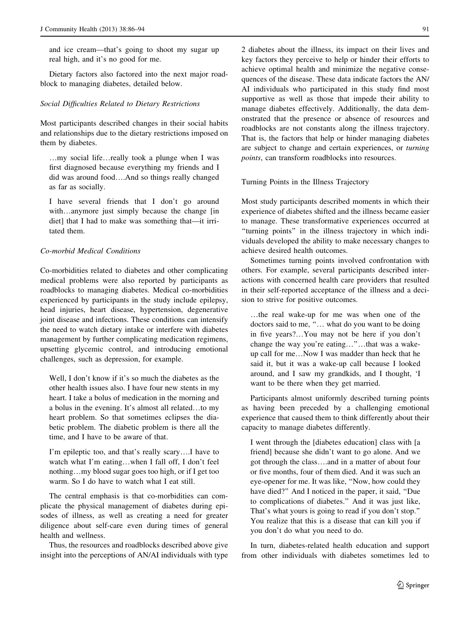and ice cream—that's going to shoot my sugar up real high, and it's no good for me.

Dietary factors also factored into the next major roadblock to managing diabetes, detailed below.

#### Social Difficulties Related to Dietary Restrictions

Most participants described changes in their social habits and relationships due to the dietary restrictions imposed on them by diabetes.

…my social life…really took a plunge when I was first diagnosed because everything my friends and I did was around food….And so things really changed as far as socially.

I have several friends that I don't go around with…anymore just simply because the change [in diet] that I had to make was something that—it irritated them.

# Co-morbid Medical Conditions

Co-morbidities related to diabetes and other complicating medical problems were also reported by participants as roadblocks to managing diabetes. Medical co-morbidities experienced by participants in the study include epilepsy, head injuries, heart disease, hypertension, degenerative joint disease and infections. These conditions can intensify the need to watch dietary intake or interfere with diabetes management by further complicating medication regimens, upsetting glycemic control, and introducing emotional challenges, such as depression, for example.

Well, I don't know if it's so much the diabetes as the other health issues also. I have four new stents in my heart. I take a bolus of medication in the morning and a bolus in the evening. It's almost all related…to my heart problem. So that sometimes eclipses the diabetic problem. The diabetic problem is there all the time, and I have to be aware of that.

I'm epileptic too, and that's really scary….I have to watch what I'm eating…when I fall off, I don't feel nothing…my blood sugar goes too high, or if I get too warm. So I do have to watch what I eat still.

The central emphasis is that co-morbidities can complicate the physical management of diabetes during episodes of illness, as well as creating a need for greater diligence about self-care even during times of general health and wellness.

Thus, the resources and roadblocks described above give insight into the perceptions of AN/AI individuals with type 2 diabetes about the illness, its impact on their lives and key factors they perceive to help or hinder their efforts to achieve optimal health and minimize the negative consequences of the disease. These data indicate factors the AN/ AI individuals who participated in this study find most supportive as well as those that impede their ability to manage diabetes effectively. Additionally, the data demonstrated that the presence or absence of resources and roadblocks are not constants along the illness trajectory. That is, the factors that help or hinder managing diabetes are subject to change and certain experiences, or turning points, can transform roadblocks into resources.

Turning Points in the Illness Trajectory

Most study participants described moments in which their experience of diabetes shifted and the illness became easier to manage. These transformative experiences occurred at ''turning points'' in the illness trajectory in which individuals developed the ability to make necessary changes to achieve desired health outcomes.

Sometimes turning points involved confrontation with others. For example, several participants described interactions with concerned health care providers that resulted in their self-reported acceptance of the illness and a decision to strive for positive outcomes.

…the real wake-up for me was when one of the doctors said to me, "... what do you want to be doing in five years?…You may not be here if you don't change the way you're eating…''…that was a wakeup call for me…Now I was madder than heck that he said it, but it was a wake-up call because I looked around, and I saw my grandkids, and I thought, 'I want to be there when they get married.

Participants almost uniformly described turning points as having been preceded by a challenging emotional experience that caused them to think differently about their capacity to manage diabetes differently.

I went through the [diabetes education] class with [a friend] because she didn't want to go alone. And we got through the class….and in a matter of about four or five months, four of them died. And it was such an eye-opener for me. It was like, ''Now, how could they have died?'' And I noticed in the paper, it said, ''Due to complications of diabetes.'' And it was just like, That's what yours is going to read if you don't stop.'' You realize that this is a disease that can kill you if you don't do what you need to do.

In turn, diabetes-related health education and support from other individuals with diabetes sometimes led to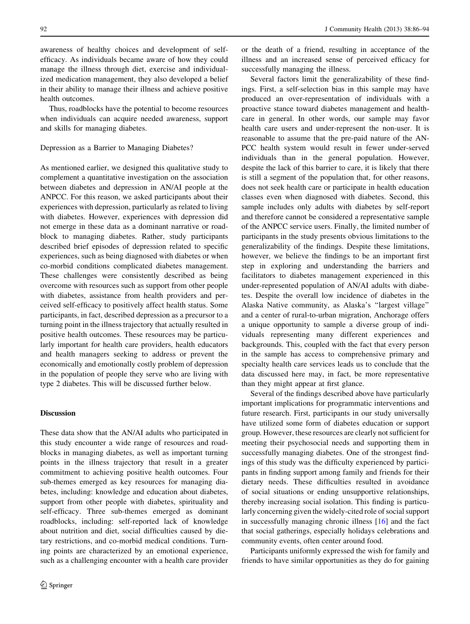awareness of healthy choices and development of selfefficacy. As individuals became aware of how they could manage the illness through diet, exercise and individualized medication management, they also developed a belief in their ability to manage their illness and achieve positive health outcomes.

Thus, roadblocks have the potential to become resources when individuals can acquire needed awareness, support and skills for managing diabetes.

## Depression as a Barrier to Managing Diabetes?

As mentioned earlier, we designed this qualitative study to complement a quantitative investigation on the association between diabetes and depression in AN/AI people at the ANPCC. For this reason, we asked participants about their experiences with depression, particularly as related to living with diabetes. However, experiences with depression did not emerge in these data as a dominant narrative or roadblock to managing diabetes. Rather, study participants described brief episodes of depression related to specific experiences, such as being diagnosed with diabetes or when co-morbid conditions complicated diabetes management. These challenges were consistently described as being overcome with resources such as support from other people with diabetes, assistance from health providers and perceived self-efficacy to positively affect health status. Some participants, in fact, described depression as a precursor to a turning point in the illness trajectory that actually resulted in positive health outcomes. These resources may be particularly important for health care providers, health educators and health managers seeking to address or prevent the economically and emotionally costly problem of depression in the population of people they serve who are living with type 2 diabetes. This will be discussed further below.

#### **Discussion**

These data show that the AN/AI adults who participated in this study encounter a wide range of resources and roadblocks in managing diabetes, as well as important turning points in the illness trajectory that result in a greater commitment to achieving positive health outcomes. Four sub-themes emerged as key resources for managing diabetes, including: knowledge and education about diabetes, support from other people with diabetes, spirituality and self-efficacy. Three sub-themes emerged as dominant roadblocks, including: self-reported lack of knowledge about nutrition and diet, social difficulties caused by dietary restrictions, and co-morbid medical conditions. Turning points are characterized by an emotional experience, such as a challenging encounter with a health care provider or the death of a friend, resulting in acceptance of the illness and an increased sense of perceived efficacy for successfully managing the illness.

Several factors limit the generalizability of these findings. First, a self-selection bias in this sample may have produced an over-representation of individuals with a proactive stance toward diabetes management and healthcare in general. In other words, our sample may favor health care users and under-represent the non-user. It is reasonable to assume that the pre-paid nature of the AN-PCC health system would result in fewer under-served individuals than in the general population. However, despite the lack of this barrier to care, it is likely that there is still a segment of the population that, for other reasons, does not seek health care or participate in health education classes even when diagnosed with diabetes. Second, this sample includes only adults with diabetes by self-report and therefore cannot be considered a representative sample of the ANPCC service users. Finally, the limited number of participants in the study presents obvious limitations to the generalizability of the findings. Despite these limitations, however, we believe the findings to be an important first step in exploring and understanding the barriers and facilitators to diabetes management experienced in this under-represented population of AN/AI adults with diabetes. Despite the overall low incidence of diabetes in the Alaska Native community, as Alaska's ''largest village'' and a center of rural-to-urban migration, Anchorage offers a unique opportunity to sample a diverse group of individuals representing many different experiences and backgrounds. This, coupled with the fact that every person in the sample has access to comprehensive primary and specialty health care services leads us to conclude that the data discussed here may, in fact, be more representative than they might appear at first glance.

Several of the findings described above have particularly important implications for programmatic interventions and future research. First, participants in our study universally have utilized some form of diabetes education or support group. However, these resources are clearly not sufficient for meeting their psychosocial needs and supporting them in successfully managing diabetes. One of the strongest findings of this study was the difficulty experienced by participants in finding support among family and friends for their dietary needs. These difficulties resulted in avoidance of social situations or ending unsupportive relationships, thereby increasing social isolation. This finding is particularly concerning given the widely-cited role of social support in successfully managing chronic illness [[16\]](#page-8-0) and the fact that social gatherings, especially holidays celebrations and community events, often center around food.

Participants uniformly expressed the wish for family and friends to have similar opportunities as they do for gaining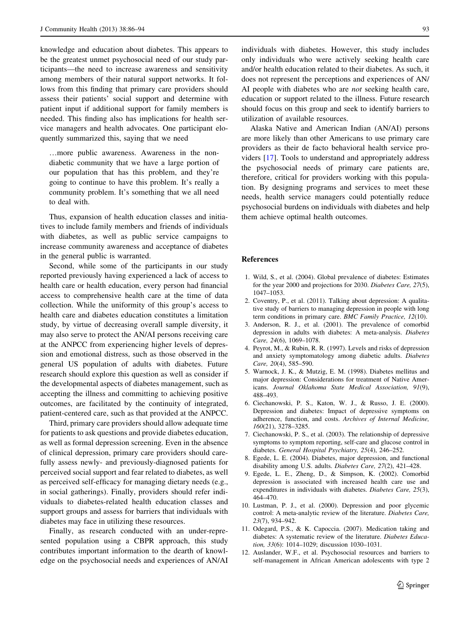<span id="page-7-0"></span>knowledge and education about diabetes. This appears to be the greatest unmet psychosocial need of our study participants—the need to increase awareness and sensitivity among members of their natural support networks. It follows from this finding that primary care providers should assess their patients' social support and determine with patient input if additional support for family members is needed. This finding also has implications for health service managers and health advocates. One participant eloquently summarized this, saying that we need

…more public awareness. Awareness in the nondiabetic community that we have a large portion of our population that has this problem, and they're going to continue to have this problem. It's really a community problem. It's something that we all need to deal with.

Thus, expansion of health education classes and initiatives to include family members and friends of individuals with diabetes, as well as public service campaigns to increase community awareness and acceptance of diabetes in the general public is warranted.

Second, while some of the participants in our study reported previously having experienced a lack of access to health care or health education, every person had financial access to comprehensive health care at the time of data collection. While the uniformity of this group's access to health care and diabetes education constitutes a limitation study, by virtue of decreasing overall sample diversity, it may also serve to protect the AN/AI persons receiving care at the ANPCC from experiencing higher levels of depression and emotional distress, such as those observed in the general US population of adults with diabetes. Future research should explore this question as well as consider if the developmental aspects of diabetes management, such as accepting the illness and committing to achieving positive outcomes, are facilitated by the continuity of integrated, patient-centered care, such as that provided at the ANPCC.

Third, primary care providers should allow adequate time for patients to ask questions and provide diabetes education, as well as formal depression screening. Even in the absence of clinical depression, primary care providers should carefully assess newly- and previously-diagnosed patients for perceived social support and fear related to diabetes, as well as perceived self-efficacy for managing dietary needs (e.g., in social gatherings). Finally, providers should refer individuals to diabetes-related health education classes and support groups and assess for barriers that individuals with diabetes may face in utilizing these resources.

Finally, as research conducted with an under-represented population using a CBPR approach, this study contributes important information to the dearth of knowledge on the psychosocial needs and experiences of AN/AI

individuals with diabetes. However, this study includes only individuals who were actively seeking health care and/or health education related to their diabetes. As such, it does not represent the perceptions and experiences of AN/ AI people with diabetes who are not seeking health care, education or support related to the illness. Future research should focus on this group and seek to identify barriers to utilization of available resources.

Alaska Native and American Indian (AN/AI) persons are more likely than other Americans to use primary care providers as their de facto behavioral health service providers [\[17](#page-8-0)]. Tools to understand and appropriately address the psychosocial needs of primary care patients are, therefore, critical for providers working with this population. By designing programs and services to meet these needs, health service managers could potentially reduce psychosocial burdens on individuals with diabetes and help them achieve optimal health outcomes.

#### References

- 1. Wild, S., et al. (2004). Global prevalence of diabetes: Estimates for the year 2000 and projections for 2030. Diabetes Care, 27(5), 1047–1053.
- 2. Coventry, P., et al. (2011). Talking about depression: A qualitative study of barriers to managing depression in people with long term conditions in primary care. BMC Family Practice, 12(10).
- 3. Anderson, R. J., et al. (2001). The prevalence of comorbid depression in adults with diabetes: A meta-analysis. Diabetes Care, 24(6), 1069–1078.
- 4. Peyrot, M., & Rubin, R. R. (1997). Levels and risks of depression and anxiety symptomatology among diabetic adults. Diabetes Care, 20(4), 585–590.
- 5. Warnock, J. K., & Mutzig, E. M. (1998). Diabetes mellitus and major depression: Considerations for treatment of Native Americans. Journal Oklahoma State Medical Association, 91(9), 488–493.
- 6. Ciechanowski, P. S., Katon, W. J., & Russo, J. E. (2000). Depression and diabetes: Impact of depressive symptoms on adherence, function, and costs. Archives of Internal Medicine, 160(21), 3278–3285.
- 7. Ciechanowski, P. S., et al. (2003). The relationship of depressive symptoms to symptom reporting, self-care and glucose control in diabetes. General Hospital Psychiatry, 25(4), 246–252.
- 8. Egede, L. E. (2004). Diabetes, major depression, and functional disability among U.S. adults. Diabetes Care, 27(2), 421–428.
- 9. Egede, L. E., Zheng, D., & Simpson, K. (2002). Comorbid depression is associated with increased health care use and expenditures in individuals with diabetes. Diabetes Care, 25(3), 464–470.
- 10. Lustman, P. J., et al. (2000). Depression and poor glycemic control: A meta-analytic review of the literature. Diabetes Care, 23(7), 934–942.
- 11. Odegard, P.S., & K. Capoccia. (2007). Medication taking and diabetes: A systematic review of the literature. Diabetes Education, 33(6): 1014–1029; discussion 1030–1031.
- 12. Auslander, W.F., et al. Psychosocial resources and barriers to self-management in African American adolescents with type 2